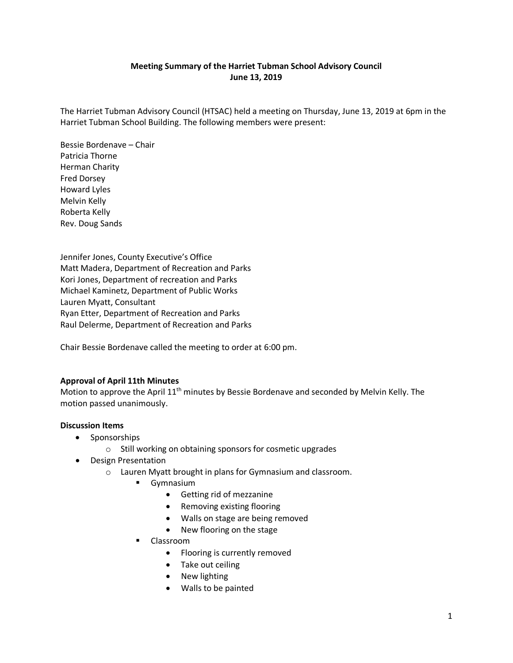# **Meeting Summary of the Harriet Tubman School Advisory Council June 13, 2019**

The Harriet Tubman Advisory Council (HTSAC) held a meeting on Thursday, June 13, 2019 at 6pm in the Harriet Tubman School Building. The following members were present:

Bessie Bordenave – Chair Patricia Thorne Herman Charity Fred Dorsey Howard Lyles Melvin Kelly Roberta Kelly Rev. Doug Sands

Jennifer Jones, County Executive's Office Matt Madera, Department of Recreation and Parks Kori Jones, Department of recreation and Parks Michael Kaminetz, Department of Public Works Lauren Myatt, Consultant Ryan Etter, Department of Recreation and Parks Raul Delerme, Department of Recreation and Parks

Chair Bessie Bordenave called the meeting to order at 6:00 pm.

## **Approval of April 11th Minutes**

Motion to approve the April 11<sup>th</sup> minutes by Bessie Bordenave and seconded by Melvin Kelly. The motion passed unanimously.

## **Discussion Items**

- Sponsorships
	- o Still working on obtaining sponsors for cosmetic upgrades
- Design Presentation
	- o Lauren Myatt brought in plans for Gymnasium and classroom.
		- **Gymnasium** 
			- Getting rid of mezzanine
			- Removing existing flooring
			- Walls on stage are being removed
			- New flooring on the stage
		- Classroom
			- Flooring is currently removed
			- Take out ceiling
			- New lighting
			- Walls to be painted